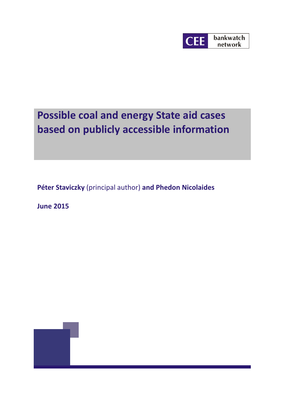

# **Possible coal and energy State aid cases based on publicly accessible information**

**Péter Staviczky** (principal author) **and Phedon Nicolaides**

**June 2015**

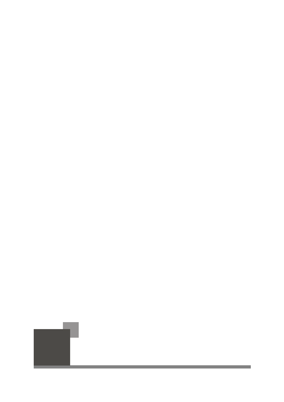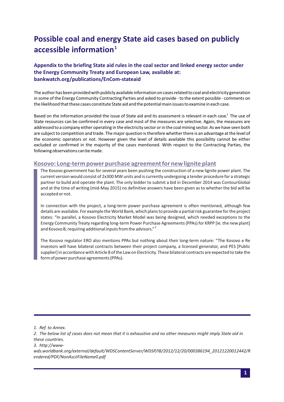# **Possible coal and energy State aid cases based on publicly accessible information 1**

### **Appendix to the briefing State aid rules in the coal sector and linked energy sector under the Energy Community Treaty and European Law, available at: bankwatch.org/publications/EnCom-stateaid**

The author has been provided with publicly available information on cases related to coal and electricity generation in some of the Energy Community Contracting Parties and asked to provide - to the extent possible - comments on the likelihood that these cases constitute State aid and the potential main issues to examine in each case.

Based on the information provided the issue of State aid and its assessment is relevant in each case.<sup>2</sup> The use of State resources can be confirmed in every case and most of the measures are selective. Again, the measures are addressed to a company either operating in the electricity sector or in the coal mining sector. As we have seen both are subject to competition and trade. The major question is therefore whether there is an advantage at the level of the economic operators or not. However given the level of details available this possibility cannot be either excluded or confirmed in the majority of the cases mentioned. With respect to the Contracting Parties, the following observations can be made.

#### **Kosovo: Long-term power purchase agreement for new lignite plant**

The Kosovo government has for several years been pushing the construction of a new lignite power plant. The current version would consist of 2x300 MW units and is currently undergoing a tender procedure for a strategic partner to build and operate the plant. The only bidder to submit a bid in December 2014 was ContourGlobal and at the time of writing (mid-May 2015) no definitive answers have been given as to whether the bid will be accepted or not.

In connection with the project, a long-term power purchase agreement is often mentioned, although few details are available. For example the World Bank, which plans to provide a partial risk guarantee for the project states: "In parallel, a Kosovo Electricity Market Model was being designed, which needed exceptions to the Energy Community Treaty regarding long-term Power Purchase Agreements (PPAs) for KRPP [ie. the new plant] and Kosovo B, requiring additional inputs from the advisors." $^{\text{3}}$ 

The Kosovo regulator ERO also mentions PPAs but nothing about their long-term nature: "The Kosovo e Re investors will have bilateral contracts between their project company, a licensed generator, and PES [Public supplier] in accordance with Article 8 of the Law on Electricity. These bilateral contracts are expected to take the form of power purchase agreements (PPAs).

*1. Ref. to Annex.*

*2. The below list of cases does not mean that it is exhaustive and no other measures might imply State aid in these countries.* 

*3. http://www-*

*wds.worldbank.org/external/default/WDSContentServer/WDSP/IB/2012/12/20/000386194\_20121220012442/R endered/PDF/NonAsciiFileName0.pdf*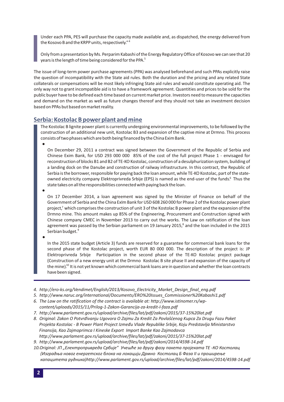Under each PPA, PES will purchase the capacity made available and, as dispatched, the energy delivered from the Kosovo B and the KRPP units, respectively." 4

Only from a presentation by Ms. Perparim Kabashi of the Energy Regulatory Office of Kosovo we can see that 20 years is the length of time being considered for the PPA.<sup>5</sup>

The issue of long-term power purchase agreements (PPA) was analysed beforehand and such PPAs explicitly raise the question of incompatibility with the State aid rules. Both the duration and the pricing and any related State collaterals or compensations will be most likely infringing State aid rules and would constitute operating aid. The only way not to grant incompatible aid is to have a framework agreement. Quantities and prices to be sold for the public buyer have to be defined each time based on current market price. Investors need to measure the capacities and demand on the market as well as future changes thereof and they should not take an investment decision based on PPAs but based on market reality.

#### **Serbia: Kostolac B power plant and mine**

The Kostolac B lignite power plant is currently undergoing environmental improvements, to be followed by the construction of an additional new unit, Kostolac B3 and expansion of the captive mine at Drmno. This process consists of two phases which are both being financed by the China Exim Bank.

On December 29, 2011 a contract was signed between the Government of the Republic of Serbia and Chinese Exim Bank, for USD 293 000 000 85% of the cost of the full project Phase 1 - envisaged for reconstruction of blocks B1 and B2 of TE-KO Kostolac, construction of a desulphurization system, building of a landing dock on the Danube and construction of railway infrastructure. In this contract, the Republic of Serbia is the borrower, responsible for paying back the loan amount, while TE-KO Kostolac, part of the stateowned electricity company Elektroprivreda Srbije (EPS) is named as the end-user of the funds.<sup>6</sup> Thus the state takes on all the responsibilities connected with paying back the loan.

On 17 December 2014, a loan agreement was signed by the Minister of Finance on behalf of the Government of Serbia and the China ExIm Bank for USD 608 260 000 for Phase 2 of the Kostolac power plant project,<sup>7</sup> which comprises the construction of unit 3 of the Kostolac B power plant and the expansion of the Drmno mine. This amount makes up 85% of the Engineering, Procurement and Construction signed with Chinese company CMEC in November 2013 to carry out the works. The Law on ratification of the loan agreement was passed by the Serbian parliament on 19 January 2015,<sup>8</sup> and the loan included in the 2015 Serbian budget. 9

In the 2015 state budget (Article 3) funds are reserved for a guarantee for commercial bank loans for the second phase of the Kostolac project, worth EUR 80 000 000. The description of the project is: JP Elektroprivreda Srbije Participation in the second phase of the TE-KO Kostolac project package (Construction of a new energy unit at the Drmno Kostolac B site phase II and expansion of the capacity of the mine). $^{10}$  It is not yet known which commercial bank loans are in question and whether the loan contracts have been signed.

- *4. http://ero-ks.org/Vendimet/English/2013/Kosovo\_Electricity\_Market\_Design\_final\_eng.pdf*
- *5. http://www.naruc.org/international/Documents/ERO%20Issues\_Commissioner%20Kabashi1.pdf*
- *6. The Law on the ratification of the contract is available at: http://www.istinomer.rs/wpcontent/uploads/2015/11/Prilog-1-Zakon-Garancija-za-kredit-I-faza.pdf*
- *7. http://www.parlament.gov.rs/upload/archive/files/lat/pdf/zakoni/2015/37-15%20lat.pdf*
- *8. Original: Zakon O Potvrđivanju Ugovora O Zajmu Za Kredit Za Povlašćenog Kupca Za Drugu Fazu Paket Projekta Kostolac - B Power Plant Project Između Vlade Republike Srbije, Koju Predstavlja Ministarstvo Finansija, Kao Zajmoprimca I Kineske Export Import Banke Kao Zajmodavca http://www.parlament.gov.rs/upload/archive/files/lat/pdf/zakoni/2015/37-15%20lat.pdf*
- *9. http://www.parlament.gov.rs/upload/archive/files/lat/pdf/zakoni/2014/4598-14.pdf*
- *10.Original: ЈП "Електропривреда Србије" Учешће за другу фазу пакета пројеката ТЕ -КО Костолац (Изградња новог енергетског блока на локацији Дрмно Костолац Б Фаза II и проширење капацитета рудника)http://www.parlament.gov.rs/upload/archive/files/lat/pdf/zakoni/2014/4598-14.pdf*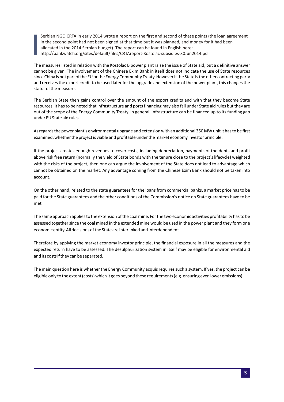Serbian NGO CRTA in early 2014 wrote a report on the first and second of these points (the loan agreement in the second point had not been signed at that time but it was planned, and money for it had been allocated in the 2014 Serbian budget). The report can be found in English here: http://bankwatch.org/sites/default/files/CRTAreport-Kostolac-subsidies-30Jun2014.pd

The measures listed in relation with the Kostolac B power plant raise the issue of State aid, but a definitive answer cannot be given. The involvement of the Chinese Exim Bank in itself does not indicate the use of State resources since China is not part of the EU or the Energy Community Treaty. However if the State is the other contracting party and receives the export credit to be used later for the upgrade and extension of the power plant, this changes the status of the measure.

The Serbian State then gains control over the amount of the export credits and with that they become State resources. It has to be noted that infrastructure and ports financing may also fall under State aid rules but they are out of the scope of the Energy Community Treaty. In general, infrastructure can be financed up to its funding gap under EU State aid rules.

As regards the power plant's environmental upgrade and extension with an additional 350 MW unit it has to be first examined, whether the project is viable and profitable under the market economy investor principle.

If the project creates enough revenues to cover costs, including depreciation, payments of the debts and profit above risk free return (normally the yield of State bonds with the tenure close to the project's lifecycle) weighted with the risks of the project, then one can argue the involvement of the State does not lead to advantage which cannot be obtained on the market. Any advantage coming from the Chinese Exim Bank should not be taken into account.

On the other hand, related to the state guarantees for the loans from commercial banks, a market price has to be paid for the State guarantees and the other conditions of the Commission's notice on State guarantees have to be met.

The same approach applies to the extension of the coal mine. For the two economic activities profitability has to be assessed together since the coal mined in the extended mine would be used in the power plant and they form one economic entity. All decisions of the State are interlinked and interdependent.

Therefore by applying the market economy investor principle, the financial exposure in all the measures and the expected return have to be assessed. The desulphurization system in itself may be eligible for environmental aid and its costs if they can be separated.

The main question here is whether the Energy Community acquis requires such a system. If yes, the project can be eligible only to the extent (costs) which it goes beyond these requirements (e.g. ensuring even lower emissions).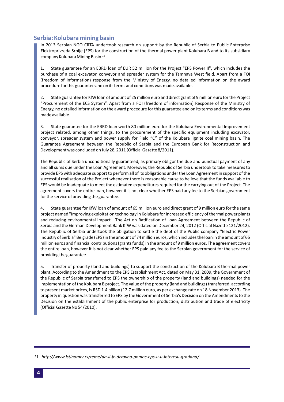# **Serbia: Kolubara mining basin**

In 2013 Serbian NGO CRTA undertook research on support by the Republic of Serbia to Public Enterprise Elektroprivreda Srbije (EPS) for the construction of the thermal power plant Kolubara B and to its subsidiary company Kolubara Mining Basin. 11

State guarantee for an EBRD loan of EUR 52 million for the Project "EPS Power II", which includes the purchase of a coal excavator, conveyor and spreader system for the Tamnava West field. Apart from a FOI (freedom of information) response from the Ministry of Energy, no detailed information on the award procedure for this guarantee and on its terms and conditions was made available.

2. State guarantee for KfW loan of amount of 25 million euro and direct grant of 9 million euro for the Project "Procurement of the ECS System". Apart from a FOI (freedom of information) Response of the Ministry of Energy, no detailed information on the award procedure for this guarantee and on its terms and conditions was made available.

3. State guarantee for the EBRD loan worth 80 million euro for the Kolubara Environmental Improvement project related, among other things, to the procurement of the specific equipment including excavator, conveyor, spreader system and power supply for Field "C" of the Kolubara lignite coal mining basin. The Guarantee Agreement between the Republic of Serbia and the European Bank for Reconstruction and Development was concluded on July 28, 2011 (Official Gazette 8/2011).

The Republic of Serbia unconditionally guaranteed, as primary obligor the due and punctual payment of any and all sums due under the Loan Agreement. Moreover, the Republic of Serbia undertook to take measures to provide EPS with adequate support to perform all of its obligations under the Loan Agreement in support of the successful realisation of the Project whenever there is reasonable cause to believe that the funds available to EPS would be inadequate to meet the estimated expenditures required for the carrying out of the Project. The agreement covers the entire loan, however it is not clear whether EPS paid any fee to the Serbian government for the service of providing the guarantee.

4. State guarantee for KfW loan of amount of 65 million euro and direct grant of 9 million euro for the same project named "Improving exploitation technology in Kolubara for increased efficiency of thermal power plants and reducing environmental impact". The Act on Ratification of Loan Agreement between the Republic of Serbia and the German Development Bank KfW was dated on December 24, 2012 (Official Gazette 121/2012). The Republic of Serbia undertook the obligation to settle the debt of the Public company "Electric Power Industry of Serbia" Belgrade (EPS) in the amount of 74 million euros, which includes the loan in the amount of 65 million euros and financial contributions (grants funds) in the amount of 9 million euros. The agreement covers the entire loan, however it is not clear whether EPS paid any fee to the Serbian government for the service of providing the guarantee.

5. Transfer of property (land and buildings) to support the construction of the Kolubara B thermal power plant. According to the Amendment to the EPS Establishment Act, dated on May 31, 2009, the Government of the Republic of Serbia transferred to EPS the ownership of the property (land and buildings) needed for the implementation of the Kolubara B project. The value of the property (land and buildings) transferred, according to present market prices, is RSD 1.4 billion (12.7 million euro, as per exchange rate on 18 November 2013). The property in question was transferred to EPS by the Government of Serbia's Decision on the Amendments to the Decision on the establishment of the public enterprise for production, distribution and trade of electricity (Official Gazette No 54/2010).

*11. http://www.istinomer.rs/teme/da-li-je-drzavna-pomoc-eps-u-u-interesu-gradana/*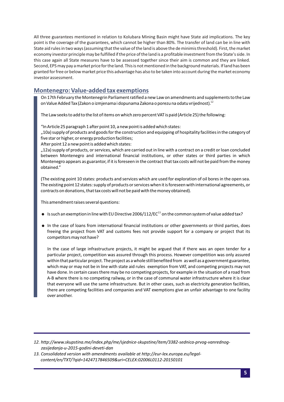All three guarantees mentioned in relation to Kolubara Mining Basin might have State aid implications. The key point is the coverage of the guarantees, which cannot be higher than 80%. The transfer of land can be in line with State aid rules in two ways (assuming that the value of the land is above the de minimis threshold). First, the market economy investor principle may be fulfilled if the price of the land is a profitable investment from the State's side. In this case again all State measures have to be assessed together since their aim is common and they are linked. Second, EPS may pay a market price for the land. This is not mentioned in the background materials. If land has been granted for free or below market price this advantage has also to be taken into account during the market economy investor assessment.

### **Montenegro: Value-added tax exemptions**

On 17th February the Montenegrin Parliament ratified a new Law on amendments and supplements to the Law on Value Added Tax (Zakon o izmjenama i dopunama Zakona o porezu na odatu vrijednost). $^{12}$ 

The Law seeks to add to the list of items on which zero percent VAT is paid (Article 25) the following:

"In Article 25 paragraph 1 after point 10, a new point is added which states:

"10a) supply of products and goods for the construction and equipping of hospitality facilities in the category of five star or higher, or energy production facilities;

After point 12 a new point is added which states:

"12a) supply of products, or services, which are carried out in line with a contract on a credit or loan concluded between Montenegro and international financial institutions, or other states or third parties in which Montenegro appears as guarantor, if it is foreseen in the contract that tax costs will not be paid from the money obtained."

(The existing point 10 states: products and services which are used for exploration of oil bores in the open sea. The existing point 12 states: supply of products or services when it is foreseen with international agreements, or contracts on donations, that tax costs will not be paid with the money obtained).

This amendment raises several questions:

- Is such an exemption in line with EU Directive 2006/112/EC $^{\text{13}}$  on the common system of value added tax?
- In the case of loans from international financial institutions or other governments or third parties, does freeing the project from VAT and customs fees not provide support for a company or project that its competitors may not have?

In the case of large infrastructure projects, it might be argued that if there was an open tender for a particular project, competition was assured through this process. However competition was only assured within that particular project. The project as a whole still benefited from as well as a government guarantee, which may or may not be in line with state aid rules exemption from VAT, and competing projects may not have done. In certain cases there may be no competing projects, for example in the situation of a road from A-B where there is no competing railway, or in the case of communal water infrastructure where it is clear that everyone will use the same infrastructure. But in other cases, such as electricity generation facilities, there are competing facilities and companies and VAT exemptions give an unfair advantage to one facility over another.

*<sup>12.</sup> http://www.skupstina.me/index.php/me/sjednice-skupstine/item/3382-sednica-prvog-vanrednogzasijedanja-u-2015-godini-deveti-dan* 

*<sup>13.</sup> Consolidated version with amendments available at http://eur-lex.europa.eu/legalcontent/en/TXT/?qid=1424717846509&uri=CELEX:02006L0112-20150101*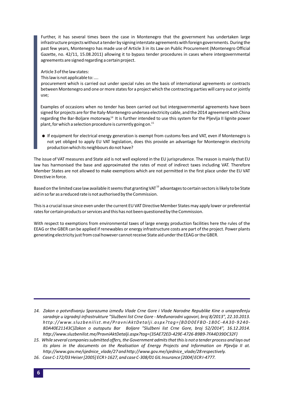Further, it has several times been the case in Montenegro that the government has undertaken large infrastructure projects without a tender by signing interstate agreements with foreign governments. During the past few years, Montenegro has made use of Article 3 in its Law on Public Procurement (Montenegro Official Gazette, no. 42/11, 15.08.2011) allowing it to bypass tender procedures in cases where intergovernmental agreements are signed regarding a certain project.

Article 3 of the law states:

This law is not applicable to: ….

procurement which is carried out under special rules on the basis of international agreements or contracts between Montenegro and one or more states for a project which the contracting parties will carry out or jointly use;

Examples of occasions when no tender has been carried out but intergovernmental agreements have been signed for projects are for the Italy-Montenegro undersea electricity cable, and the 2014 agreement with China regarding the Bar-Boljare motorway.<sup>14</sup> It is further intended to use this system for the Pljevlja II lignite power plant, for which a selection procedure is currently going on.<sup>15</sup>

If equipment for electrical energy generation is exempt from customs fees and VAT, even if Montenegro is not yet obliged to apply EU VAT legislation, does this provide an advantage for Montenegrin electricity production which its neighbours do not have?

The issue of VAT measures and State aid is not well explored in the EU jurisprudence. The reason is mainly that EU law has harmonised the base and approximated the rates of most of indirect taxes including VAT. Therefore Member States are not allowed to make exemptions which are not permitted in the first place under the EU VAT Directive in force.

Based on the limited case law available it seems that granting VAT $^{16}$  advantages to certain sectors is likely to be State aid in so far as a reduced rate is not authorised by the Commission.

This is a crucial issue since even under the current EU VAT Directive Member States may apply lower or preferential rates for certain products or services and this has not been questioned by the Commission.

With respect to exemptions from environmental taxes of large energy production facilities here the rules of the EEAG or the GBER can be applied if renewables or energy infrastructure costs are part of the project. Power plants generating electricity just from coal however cannot receive State aid under the EEAG or the GBER.

*<sup>14.</sup> Zakon o potvrđivanju Sporazuma između Vlade Crne Gore i Vlade Narodne Republike Kine o unapređenju saradnje u izgradnji infrastrukture "Službeni list Crne Gore - Međunarodni ugovori, broj 8/2013", 22.10.2013. http://www.sluzbeni l ist.me/PravniAktDetalji.aspx ? tag={BDD0EFBD-180C-4A30-9240- 8DA40E21143C}Zakon o autoputu Bar Boljare "Službeni list Crne Gore, broj 52/2014", 16.12.2014. http://www.sluzbenilist.me/PravniAktDetalji.aspx?tag={35AE72ED-429E-4726-B9B9-7FA4D39DC32F}*

*<sup>15.</sup> While several companies submitted offers, the Government admits that this is not a tender process and lays out its plans in the documents on the Realisation of Energy Projects and Information on Pljevlja II at. http://www.gov.me/sjednice\_vlade/27 and http://www.gov.me/sjednice\_vlade/28 respectively.*

*<sup>16.</sup> Case C-172/03 Heiser [2005] ECR I-1627, and case C-308/01 GIL Insurance [2004] ECR I-4777.*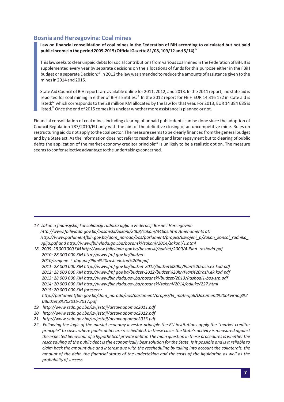#### **Bosnia and Herzegovina: Coal mines**

**Law on financial consolidation of coal mines in the Federation of BiH according to calculated but not paid public income in the period 2009-2015 (Official Gazette 81/08, 109/12 and 5/14)** 17

This law seeks to clear unpaid debts for social contributions from various coal mines in the Federation of BiH. It is supplemented every year by separate decisions on the allocations of funds for this purpose either in the FBiH budget or a separate Decision.<sup>18</sup> In 2012 the law was amended to reduce the amounts of assistance given to the mines in 2014 and 2015.

State Aid Council of BiH reports are available online for 2011, 2012, and 2013. In the 2011 report, no state aid is reported for coal mining in either of BiH's Entities.<sup>19</sup> In the 2012 report for FBiH EUR 14 316 172 in state aid is listed, $^{20}$  which corresponds to the 28 million KM allocated by the law for that year. For 2013, EUR 14 384 685 is listed. $^{21}$  Once the end of 2015 comes it is unclear whether more assistance is planned or not.

Financial consolidation of coal mines including clearing of unpaid public debts can be done since the adoption of Council Regulation 787/2010/EU only with the aim of the definitive closing of an uncompetitive mine. Rules on restructuring aid do not apply to the coal sector. The measure seems to be clearly financed from the general budget and by a State act. As the information does not refer to rescheduling and later repayment but to clearing of public debts the application of the market economy creditor principle<sup>22</sup> is unlikely to be a realistic option. The measure seems to confer selective advantage to the undertakings concerned.

- *20. http://www.szdp.gov.ba/izvjestaji/drzavnapomoc2012.pdf 21. http://www.szdp.gov.ba/izvjestaji/drzavnapomoc2013.pdf*
- *22. Following the logic of the market economy investor principle the EU institutions apply the "market creditor principle" to cases where public debts are rescheduled. In these cases the State's activity is measured against the expected behaviour of a hypothetical private debtor. The main question in these procedures is whether the rescheduling of the public debt is the economically best solution for the State. Is it possible and is it reliable to claim back the amount due and interest due with the rescheduling by taking into account the collaterals, the amount of the debt, the financial status of the undertaking and the costs of the liquidation as well as the probability of success.*

*<sup>17.</sup> Zakon o finansijskoj konsolidaciji rudnika uglja u Federaciji Bosne i Hercegovine http://www.fbihvlada.gov.ba/bosanski/zakoni/2008/zakoni/34bos.htm Amendments at: Http://www.parlamentfbih.gov.ba/dom\_naroda/bos/parlament/propisi/usvojeni\_p/Zakon\_konsol\_rudnika\_ uglja.pdf and http://www.fbihvlada.gov.ba/bosanski/zakoni/2014/zakoni/1.html*

*<sup>18. 2009: 28 000 000</sup> KM http://www.fbihvlada.gov.ba/bosanski/budzet/2009/4-Plan\_rashoda.pdf 2010: 28 000 000 KM http://www.fmf.gov.ba/budzet-2010/izmjene\_i\_dopune/Plan%20rash.ek.kod%20hr.pdf 2011: 28 000 000 KM http://www.fmf.gov.ba/budzet-2012/budzet%20hr/Plan%20rash.ek.kod.pdf 2012: 28 000 000 KM http://www.fmf.gov.ba/budzet-2012/budzet%20hr/Plan%20rash.ek.kod.pdf 2013: 28 000 000 KM http://www.fbihvlada.gov.ba/bosanski/budzet/2013/Rashodi1-bos-srp.pdf 2014: 20 000 000 KM http://www.fbihvlada.gov.ba/bosanski/zakoni/2014/odluke/227.html 2015: 20 000 000 KM foreseen: http://parlamentfbih.gov.ba/dom\_naroda/bos/parlament/propisi/El\_materijali/Dokument%20okvirnog%2 0Budzeta%202015-2017.pdf 19. http://www.szdp.gov.ba/izvjestaji/drzavnapomoc2011.pdf*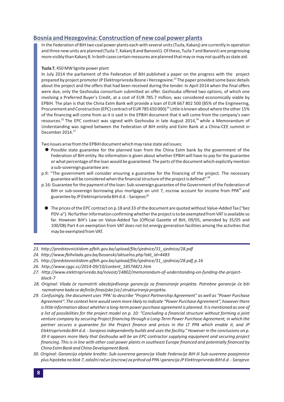## **Bosnia and Hezegovina: Construction of new coal power plants**

In the Federation of BiH two coal power plants each with several units (Tuzla, Kakanj) are currently in operation and three new units are planned (Tuzla 7, Kakanj 8 and Banovići). Of these, Tuzla 7 and Banovići are progressing more visibly than Kakanj 8. In both cases certain measures are planned that may or may not qualify as state aid.

#### **Tuzla 7**, 450 MW lignite power plant

In July 2014 the parliament of the Federation of BiH published a paper on the progress with the project prepared by project promoter JP Elektroprivreda Bosne i Hercegovine.<sup>23</sup> The paper provided some basic details about the project and the offers that had been received during the tender. In April 2014 when the final offers were due, only the Gezhouba consortium submitted an offer. Gezhouba offered two options, of which one involving a Preferred Buyer's Credit, at a cost of EUR 785.7 million, was considered economically viable by EPBiH. The plan is that the China ExIm Bank will provide a loan of EUR 667 802 500 (85% of the Engineering, Procurement and Construction (EPC) contract of EUR 785 650 000). $^{24}$  Little is known about where the other 15% of the financing will come from as it is said in the EPBiH document that it will come from the company's own resources.<sup>25</sup> The EPC contract was signed with Gezhouba in late August 2014,<sup>26</sup> while a Memorandum of Understanding was signed between the Federation of BiH entity and ExIm Bank at a China-CEE summit in December 2014. 27

Two issues arise from the EPBiH document which may raise state aid issues:

- Possible state guarantee for the planned loan from the China ExIm bank by the government of the Federation of BiH entity. No information is given about whether EPBiH will have to pay for the guarantee or what percentage of the loan would be guaranteed. The parts of the document which explicitly mention a sub-sovereign guarantee are:
- p.9: "The government will consider ensuring a guarantee for the financing of the project. The necessary guarantee will be considered when the financial structure of the project is defined". $^{28}$
- p.16: Guarantee for the payment of the loan: Sub-sovereign guarantee of the Government of the Federation of BiH or sub-sovereign borrowing plus mortgage on unit 7, escrow account for income from PPA<sup>29</sup> and guarantee by JP Elektroprivreda BiH d.d. - Sarajevo.<sup>30</sup>
	- The prices of the EPC contract on p.18 and 33 of the document are quoted without Value-Added Tax ("bez PDV-a"). No further information confirming whether the project is to be exempted from VAT is available so far. However BiH's Law on Value-Added Tax (Official Gazette of BiH, 09/05, amended by 35/05 and 100/08) Part 4 on exemption from VAT does not list energy generation facilities among the activities that may be exempted from VAT.
- *23. http://predstavnickidom-pfbih.gov.ba/upload/file/sjednice/31\_sjednica/28.pdf*
- *24. http://www.fbihvlada.gov.ba/bosanski/aktuelno.php?akt\_id=4483*
- *25. http://predstavnickidom-pfbih.gov.ba/upload/file/sjednice/31\_sjednica/28.pdf, p.16*
- *26. http://www.cggc.cc/2014-09/10/content\_18574821.htm*
- *27. Http://www.elektroprivreda.ba/novost/14802/memorandum-of-understanding-on-funding-the-projectblock-7*
- *28. Original: Vlada će razmotriti obezbijeđivanje garancija za finansiranje projekta. Potrebne garancije će biti razmatrane kada se definiše finasijsko [sic] strukturiranje projekta.*
- *29. Confusingly, the document uses 'PPA' to describe "Project Partnership Agreement" as well as "Power Purchase Agreement". The context here would seem more likely to indicate "Power Purchase Agreement", however there is little information about whether a long-term power purchase agreement is planned. It is mentioned as one of a list of possibilities for the project model on p. 10: "Concluding a financial structure without forming a joint venture company by securing Project financing through a Long-Term Power Purchase Agreement, in which the partner secures a guarantee for the Project finance and prices in the LT PPA which enable it, and JP Elektroprivreda BiH d.d. - Sarajevo independently builds and uses the facility." However in the conclusions on p. 39 it appears more likely that Gezhouba will be an EPC contractor supplying equipment and securing project financing. This is in line with other coal power plants in southeast Europe financed and potentially financed by China ExIm Bank and China Development Bank.*
- *30. Original: Garancija otplate kredite: Sub-suverena garancija Vlade Federacije BiH ili Sub-suverene pozajmnice plus hipoteka na blok 7, založni račun (escrow) za prihod od PPA i garancija JP Elektroprivreda BiH d.d. - Sarajevo*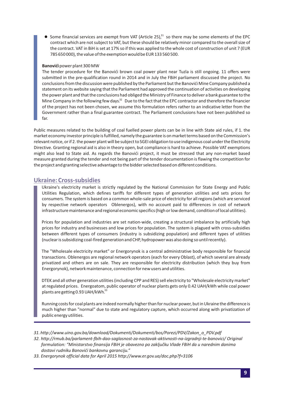Some financial services are exempt from VAT (Article 25), $31$  so there may be some elements of the EPC contract which are not subject to VAT, but these should be relatively minor compared to the overall size of the contract. VAT in BiH is set at 17% so if this was applied to the whole cost of construction of unit 7 (EUR 785 650 000), the value of the exemption would be EUR 133 560 500.

#### **Banovići**power plant 300 MW

The tender procedure for the Banovići brown coal power plant near Tuzla is still ongoing. 11 offers were submitted in the pre-qualification round in 2014 and in July the FBiH parliament discussed the project. No conclusions from the discussion were published by the Parliament but the Banovići Mine Company published a statement on its website saying that the Parliament had approved the continuation of activities on developing the power plant and that the conclusions had obliged the Ministry of Finance to deliver a bank guarantee to the Mine Company in the following few days.<sup>32</sup> Due to the fact that the EPC contractor and therefore the financier of the project has not been chosen, we assume this formulation refers rather to an indicative letter from the Government rather than a final guarantee contract. The Parliament conclusions have not been published so far.

Public measures related to the building of coal fuelled power plants can be in line with State aid rules, if 1. the market economy investor principle is fulfilled, namely the guarantee is on market terms based on the Commission's relevant notice, or if 2. the power plant will be subject to SGEI obligation to use indigenous coal under the Electricity Directive. Granting regional aid is also in theory open, but compliance is hard to achieve. Possible VAT exemptions might also lead to State aid. As regards the Banovići project, it must be stressed that any non-market based measure granted during the tender and not being part of the tender documentation is flawing the competition for the project and granting selective advantage to the bidder selected based on different conditions.

#### **Ukraine: Cross-subsidies**

Ukraine's electricity market is strictly regulated by the National Commission for State Energy and Public Utilities Regulation, which defines tariffs for different types of generation utilities and sets prices for consumers. The system is based on a common whole-sale price of electricity for all regions (which are serviced by respective network operators Oblenergos), with no account paid to differences in cost of network infrastructure maintenance and regional economic specifics (high or low demand, condition of local utilities).

Prices for population and industries are set nation-wide, creating a structural imbalance by artificially high prices for industry and businesses and low prices for population. The system is plagued with cross-subsidies between different types of consumers (industry is subsidizing population) and different types of utilities (nuclear is subsidizing coal-fired generation and CHP, hydropower was also doing so until recently).

The "Wholesale electricity market" or Energorynok is a central administrative body responsible for financial transactions. Oblenergos are regional network operators (each for every Oblast), of which several are already privatized and others are on sale. They are responsible for electricity distribution (which they buy from Energorynok), network maintenance, connection for new users and utilities.

DTEK and all other generation utilities (including CPP and RES) sell electricity to "Wholesale electricity market" at regulated prices. Energoatom, public operator of nuclear plants gets only 0.42 UAH/kWh while coal power plants are getting 0.93 UAH/kWh.<sup>33</sup>

Running costs for coal plants are indeed normally higher than for nuclear power, but in Ukraine the difference is much higher than "normal" due to state and regulatory capture, which occurred along with privatization of public energy utilities.

- *31. http://www.uino.gov.ba/download/Dokumenti/Dokumenti/bos/Porezi/PDV/Zakon\_o\_PDV.pdf*
- *32. http://rmub.ba/parlament-fbih-dao-saglasnost-za-nastavak-aktivnosti-na-izgradnji-te-banovici/ Original formulation: "Ministarstvo finansija FBiH je obavezno po zaključku Vlade FBiH da u narednim danima dostavi rudniku Banovići bankovnu garanciju."*
- *33. Energorynok official data for April 2015 http://www.er.gov.ua/doc.php?f=3106*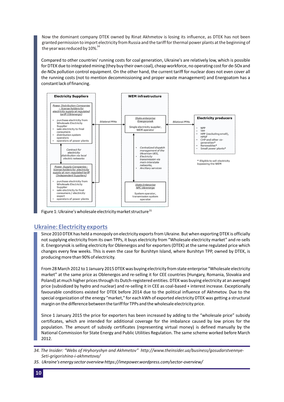Now the dominant company DTEK owned by Rinat Akhmetov is losing its influence, as DTEK has not been granted permission to import electricity from Russia and the tariff for thermal power plants at the beginning of the year was reduced by  $10\%^{34}$ 

Compared to other countries' running costs for coal generation, Ukraine's are relatively low, which is possible for DTEK due to integrated mining (they buy their own coal), cheap workforce, no operating cost for de-SOx and de-NOx pollution control equipment. On the other hand, the current tariff for nuclear does not even cover all the running costs (not to mention decommissioning and proper waste management) and Energoatom has a constant lack of financing.



Figure 1: Ukraine's wholesale electricity market structure<sup>35</sup>

#### **Ukraine: Electricity exports**

Since 2010 DTEK has held a monopoly on electricity exports from Ukraine. But when exporting DTEK is officially not supplying electricity from its own TPPs, it buys electricity from "Wholesale electricity market" and re-sells it. Energorynok is selling electricity for Oblenergos and for exporters (DTEK) at the same regulated price which changes every few weeks. This is even the case for Burshtyn Island, where Burshtyn TPP, owned by DTEK, is producing more than 90% of electricity.

From 28 March 2012 to 1 January 2015 DTEK was buying electricity from state enterprise "Wholesale electricity market" at the same price as Oblenergos and re-selling it for CEE countries (Hungary, Romania, Slovakia and Poland) at much higher prices through its Dutch-registered entities. DTEK was buying electricity at an averaged price (subsidized by hydro and nuclear) and re-selling it in CEE as coal-based + interest increase. Exceptionally favourable conditions existed for DTEK before 2014 due to the political influence of Akhmetov. Due to the special organization of the energy "market," for each kWh of exported electricity DTEK was getting a structural margin on the difference between the tariff for TPPs and the wholesale electricity price.

Since 1 January 2015 the price for exporters has been increased by adding to the "wholesale price" subsidy certificates, which are intended for additional coverage for the imbalance caused by low prices for the population. The amount of subsidy certificates (representing virtual money) is defined manually by the National Commission for State Energy and Public Utilities Regulation. The same scheme worked before March 2012.

*34. The Insider: "Webs of Hryhoryshyn and Akhmetov" http://www.theinsider.ua/business/gosudarstvennye- Seti-grigorishina-i-akhmetova/*

*35. Ukraine's energy sector overview https://imepower.wordpress.com/sector-overview/*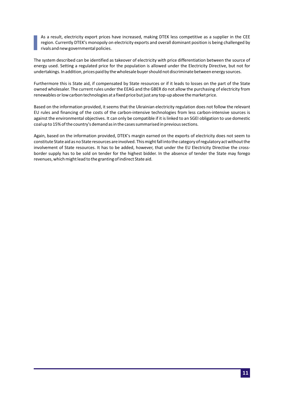As a result, electricity export prices have increased, making DTEK less competitive as a supplier in the CEE region. Currently DTEK's monopoly on electricity exports and overall dominant position is being challenged by rivals and new governmental policies.

The system described can be identified as takeover of electricity with price differentiation between the source of energy used. Setting a regulated price for the population is allowed under the Electricity Directive, but not for undertakings. In addition, prices paid by the wholesale buyer should not discriminate between energy sources.

Furthermore this is State aid, if compensated by State resources or if it leads to losses on the part of the State owned wholesaler. The current rules under the EEAG and the GBER do not allow the purchasing of electricity from renewables or low carbon technologies at a fixed price but just any top-up above the market price.

Based on the information provided, it seems that the Ukrainian electricity regulation does not follow the relevant EU rules and financing of the costs of the carbon-intensive technologies from less carbon-intensive sources is against the environmental objectives. It can only be compatible if it is linked to an SGEI obligation to use domestic coal up to 15% of the country's demand as in the cases summarised in previous sections.

Again, based on the information provided, DTEK's margin earned on the exports of electricity does not seem to constitute State aid as no State resources are involved. This might fall into the category of regulatory act without the involvement of State resources. It has to be added, however, that under the EU Electricity Directive the crossborder supply has to be sold on tender for the highest bidder. In the absence of tender the State may forego revenues, which might lead to the granting of indirect State aid.